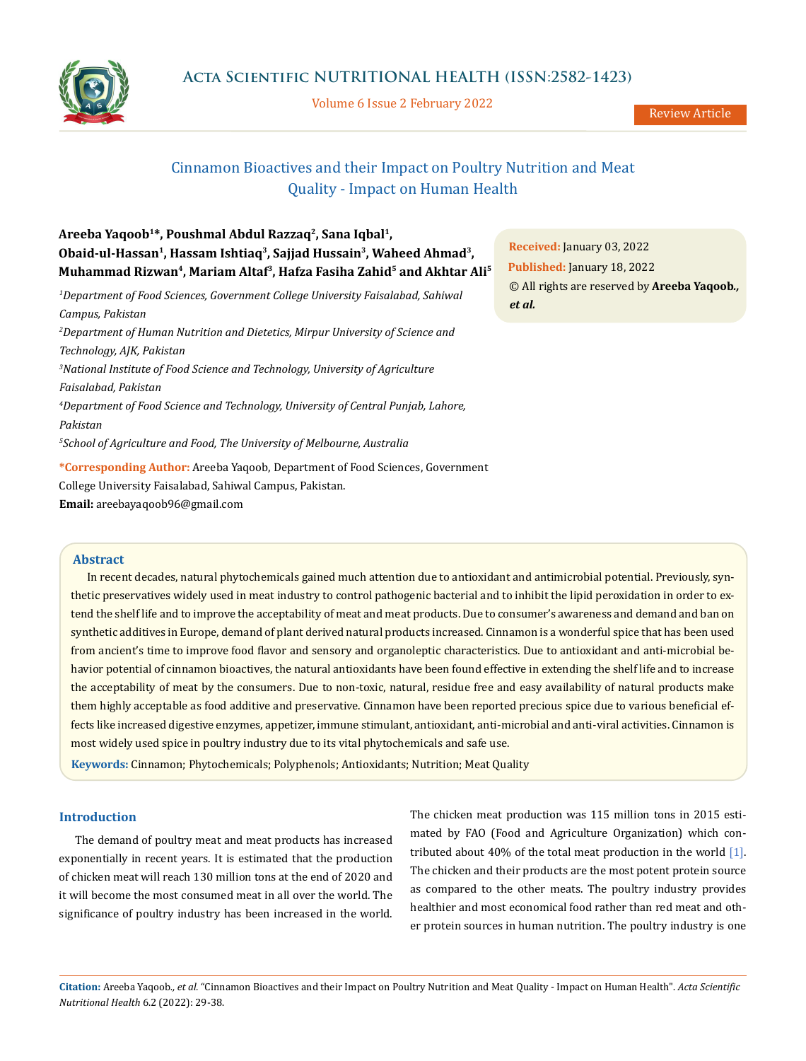

Volume 6 Issue 2 February 2022

Review Article

# Cinnamon Bioactives and their Impact on Poultry Nutrition and Meat Quality - Impact on Human Health

| Areeba Yaqoob <sup>1</sup> *, Poushmal Abdul Razzaq <sup>2</sup> , Sana Iqbal <sup>1</sup> ,                           |                |
|------------------------------------------------------------------------------------------------------------------------|----------------|
| Obaid-ul-Hassan <sup>1</sup> , Hassam Ishtiaq <sup>3</sup> , Sajjad Hussain <sup>3</sup> , Waheed Ahmad <sup>3</sup> , | R <sub>d</sub> |
| Muhammad Rizwan <sup>4</sup> , Mariam Altaf <sup>3</sup> , Hafza Fasiha Zahid <sup>5</sup> and Akhtar Ali <sup>5</sup> | P <sub>l</sub> |
| $^1$ Department of Food Sciences, Government College University Faisalabad, Sahiwal                                    | $\odot$<br>et  |
| Campus, Pakistan                                                                                                       |                |
| ${}^{2}$ Department of Human Nutrition and Dietetics, Mirpur University of Science and                                 |                |
| Technology, AJK, Pakistan                                                                                              |                |
| ${}^{3}$ National Institute of Food Science and Technology, University of Agriculture                                  |                |
| Faisalabad, Pakistan                                                                                                   |                |
| <sup>4</sup> Department of Food Science and Technology, University of Central Punjab, Lahore,                          |                |
| Pakistan                                                                                                               |                |
| <sup>5</sup> School of Agriculture and Food, The University of Melbourne, Australia                                    |                |
| *Corresponding Author: Areeba Yaqoob, Department of Food Sciences, Government                                          |                |

College University Faisalabad, Sahiwal Campus, Pakistan.

**Email:** [areebayaqoob96@gmail.com](mailto:areebayaqoob96%40gmail.com?subject=)

## **Abstract**

In recent decades, natural phytochemicals gained much attention due to antioxidant and antimicrobial potential. Previously, synthetic preservatives widely used in meat industry to control pathogenic bacterial and to inhibit the lipid peroxidation in order to extend the shelf life and to improve the acceptability of meat and meat products. Due to consumer's awareness and demand and ban on synthetic additives in Europe, demand of plant derived natural products increased. Cinnamon is a wonderful spice that has been used from ancient's time to improve food flavor and sensory and organoleptic characteristics. Due to antioxidant and anti-microbial behavior potential of cinnamon bioactives, the natural antioxidants have been found effective in extending the shelf life and to increase the acceptability of meat by the consumers. Due to non-toxic, natural, residue free and easy availability of natural products make them highly acceptable as food additive and preservative. Cinnamon have been reported precious spice due to various beneficial effects like increased digestive enzymes, appetizer, immune stimulant, antioxidant, anti-microbial and anti-viral activities. Cinnamon is most widely used spice in poultry industry due to its vital phytochemicals and safe use.

**Keywords:** Cinnamon; Phytochemicals; Polyphenols; Antioxidants; Nutrition; Meat Quality

## **Introduction**

The demand of poultry meat and meat products has increased exponentially in recent years. It is estimated that the production of chicken meat will reach 130 million tons at the end of 2020 and it will become the most consumed meat in all over the world. The significance of poultry industry has been increased in the world.

The chicken meat production was 115 million tons in 2015 estimated by FAO (Food and Agriculture Organization) which contributed about 40% of the total meat production in the world  $[1]$ . The chicken and their products are the most potent protein source as compared to the other meats. The poultry industry provides healthier and most economical food rather than red meat and other protein sources in human nutrition. The poultry industry is one

**Citation:** Areeba Yaqoob*., et al.* "Cinnamon Bioactives and their Impact on Poultry Nutrition and Meat Quality - Impact on Human Health". *Acta Scientific Nutritional Health* 6.2 (2022): 29-38.

**Received:** January 03, 2022 **Published:** January 18, 2022 © All rights are reserved by **Areeba Yaqoob***., et al.*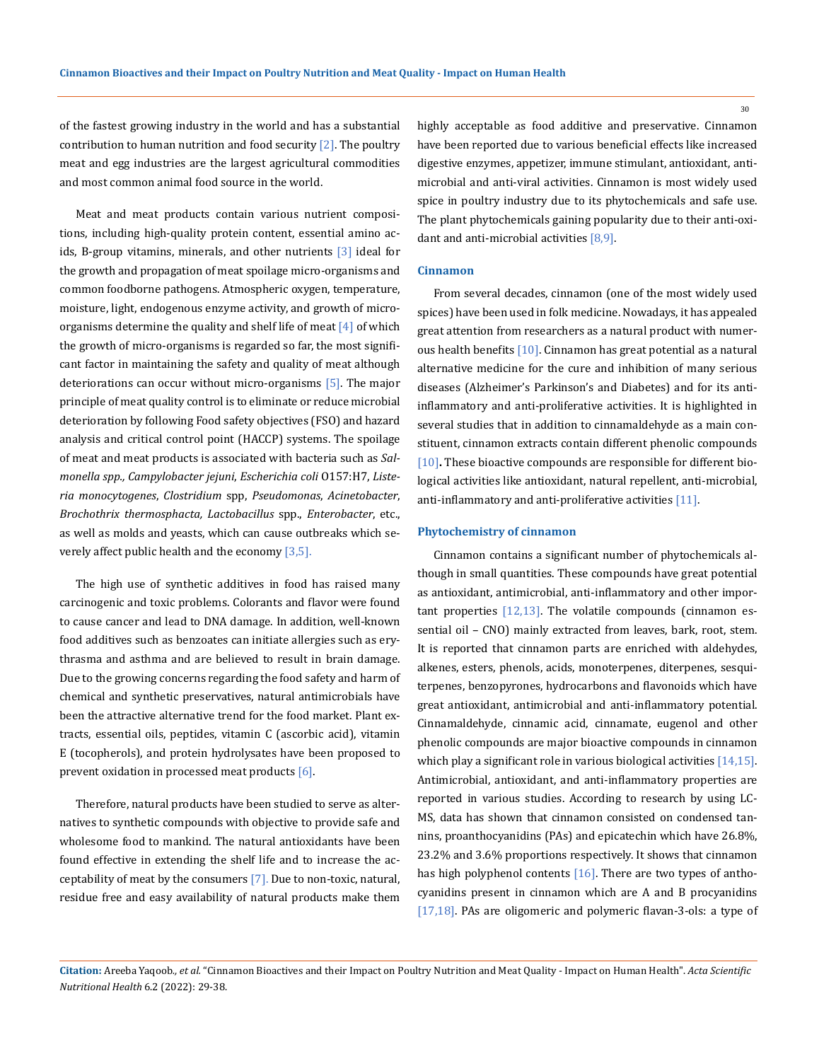of the fastest growing industry in the world and has a substantial contribution to human nutrition and food security  $[2]$ . The poultry meat and egg industries are the largest agricultural commodities and most common animal food source in the world.

Meat and meat products contain various nutrient compositions, including high-quality protein content, essential amino acids, B-group vitamins, minerals, and other nutrients [3] ideal for the growth and propagation of meat spoilage micro-organisms and common foodborne pathogens. Atmospheric oxygen, temperature, moisture, light, endogenous enzyme activity, and growth of microorganisms determine the quality and shelf life of meat  $[4]$  of which the growth of micro-organisms is regarded so far, the most significant factor in maintaining the safety and quality of meat although deteriorations can occur without micro-organisms  $[5]$ . The major principle of meat quality control is to eliminate or reduce microbial deterioration by following Food safety objectives (FSO) and hazard analysis and critical control point (HACCP) systems. The spoilage of meat and meat products is associated with bacteria such as *Salmonella spp., Campylobacter jejuni*, *Escherichia coli* O157:H7, *Listeria monocytogenes*, *Clostridium* spp, *Pseudomonas*, *Acinetobacter*, *Brochothrix thermosphacta, Lactobacillus* spp., *Enterobacter*, etc., as well as molds and yeasts, which can cause outbreaks which severely affect public health and the economy [3,5].

The high use of synthetic additives in food has raised many carcinogenic and toxic problems. Colorants and flavor were found to cause cancer and lead to DNA damage. In addition, well-known food additives such as benzoates can initiate allergies such as erythrasma and asthma and are believed to result in brain damage. Due to the growing concerns regarding the food safety and harm of chemical and synthetic preservatives, natural antimicrobials have been the attractive alternative trend for the food market. Plant extracts, essential oils, peptides, vitamin C (ascorbic acid), vitamin E (tocopherols), and protein hydrolysates have been proposed to prevent oxidation in processed meat products [6].

Therefore, natural products have been studied to serve as alternatives to synthetic compounds with objective to provide safe and wholesome food to mankind. The natural antioxidants have been found effective in extending the shelf life and to increase the acceptability of meat by the consumers [7]. Due to non-toxic, natural, residue free and easy availability of natural products make them highly acceptable as food additive and preservative. Cinnamon have been reported due to various beneficial effects like increased digestive enzymes, appetizer, immune stimulant, antioxidant, antimicrobial and anti-viral activities. Cinnamon is most widely used spice in poultry industry due to its phytochemicals and safe use. The plant phytochemicals gaining popularity due to their anti-oxidant and anti-microbial activities [8,9].

## **Cinnamon**

From several decades, cinnamon (one of the most widely used spices) have been used in folk medicine. Nowadays, it has appealed great attention from researchers as a natural product with numerous health benefits [10]. Cinnamon has great potential as a natural alternative medicine for the cure and inhibition of many serious diseases (Alzheimer's Parkinson's and Diabetes) and for its antiinflammatory and anti-proliferative activities. It is highlighted in several studies that in addition to cinnamaldehyde as a main constituent, cinnamon extracts contain different phenolic compounds [10]. These bioactive compounds are responsible for different biological activities like antioxidant, natural repellent, anti-microbial, anti-inflammatory and anti-proliferative activities [11].

#### **Phytochemistry of cinnamon**

Cinnamon contains a significant number of phytochemicals although in small quantities. These compounds have great potential as antioxidant, antimicrobial, anti-inflammatory and other important properties [12,13]. The volatile compounds (cinnamon essential oil – CNO) mainly extracted from leaves, bark, root, stem. It is reported that cinnamon parts are enriched with aldehydes, alkenes, esters, phenols, acids, monoterpenes, diterpenes, sesquiterpenes, benzopyrones, hydrocarbons and flavonoids which have great antioxidant, antimicrobial and anti-inflammatory potential. Cinnamaldehyde, cinnamic acid, cinnamate, eugenol and other phenolic compounds are major bioactive compounds in cinnamon which play a significant role in various biological activities [14,15]. Antimicrobial, antioxidant, and anti-inflammatory properties are reported in various studies. According to research by using LC-MS, data has shown that cinnamon consisted on condensed tannins, proanthocyanidins (PAs) and epicatechin which have 26.8%, 23.2% and 3.6% proportions respectively. It shows that cinnamon has high polyphenol contents  $[16]$ . There are two types of anthocyanidins present in cinnamon which are A and B procyanidins [17,18]. PAs are oligomeric and polymeric flavan-3-ols: a type of

**Citation:** Areeba Yaqoob*., et al.* "Cinnamon Bioactives and their Impact on Poultry Nutrition and Meat Quality - Impact on Human Health". *Acta Scientific Nutritional Health* 6.2 (2022): 29-38.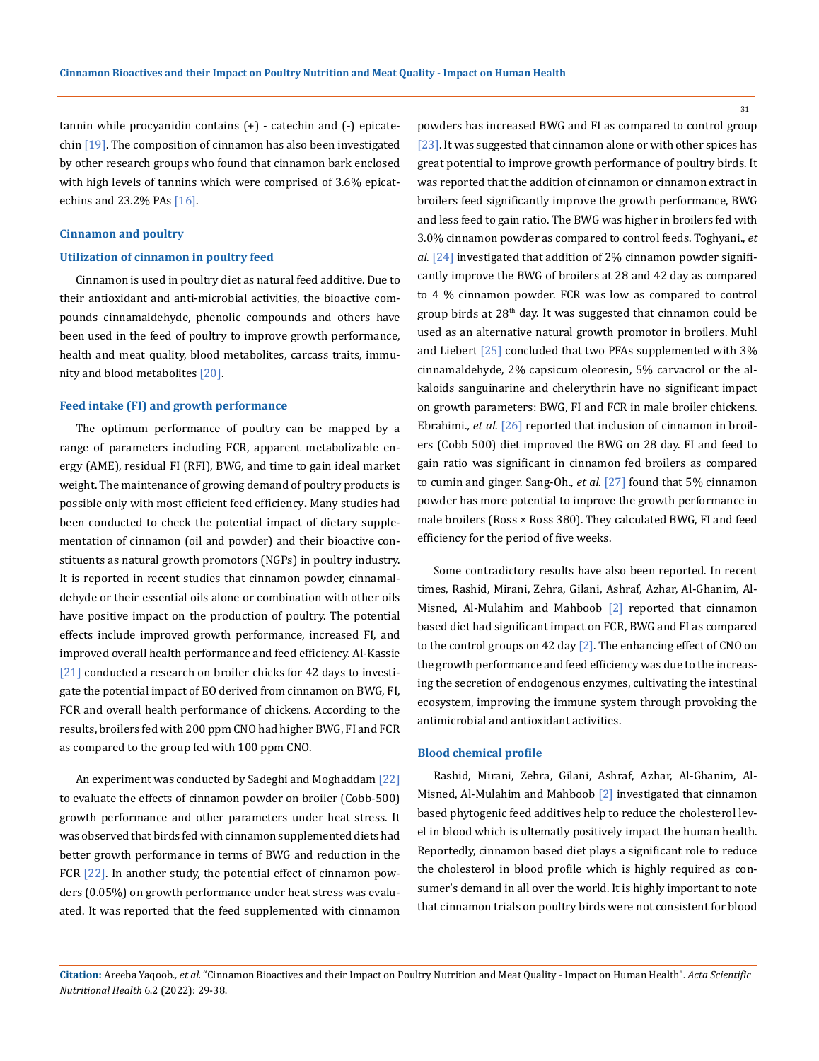tannin while procyanidin contains (+) - catechin and (-) epicatechin [19]. The composition of cinnamon has also been investigated by other research groups who found that cinnamon bark enclosed with high levels of tannins which were comprised of 3.6% epicatechins and  $23.2\%$  PAs  $[16]$ .

## **Cinnamon and poultry**

#### **Utilization of cinnamon in poultry feed**

Cinnamon is used in poultry diet as natural feed additive. Due to their antioxidant and anti-microbial activities, the bioactive compounds cinnamaldehyde, phenolic compounds and others have been used in the feed of poultry to improve growth performance, health and meat quality, blood metabolites, carcass traits, immunity and blood metabolites [20].

#### **Feed intake (FI) and growth performance**

The optimum performance of poultry can be mapped by a range of parameters including FCR, apparent metabolizable energy (AME), residual FI (RFI), BWG, and time to gain ideal market weight. The maintenance of growing demand of poultry products is possible only with most efficient feed efficiency**.** Many studies had been conducted to check the potential impact of dietary supplementation of cinnamon (oil and powder) and their bioactive constituents as natural growth promotors (NGPs) in poultry industry. It is reported in recent studies that cinnamon powder, cinnamaldehyde or their essential oils alone or combination with other oils have positive impact on the production of poultry. The potential effects include improved growth performance, increased FI, and improved overall health performance and feed efficiency. Al-Kassie [21] conducted a research on broiler chicks for 42 days to investigate the potential impact of EO derived from cinnamon on BWG, FI, FCR and overall health performance of chickens. According to the results, broilers fed with 200 ppm CNO had higher BWG, FI and FCR as compared to the group fed with 100 ppm CNO.

An experiment was conducted by Sadeghi and Moghaddam [22] to evaluate the effects of cinnamon powder on broiler (Cobb-500) growth performance and other parameters under heat stress. It was observed that birds fed with cinnamon supplemented diets had better growth performance in terms of BWG and reduction in the FCR [22]. In another study, the potential effect of cinnamon powders (0.05%) on growth performance under heat stress was evaluated. It was reported that the feed supplemented with cinnamon powders has increased BWG and FI as compared to control group [23]. It was suggested that cinnamon alone or with other spices has great potential to improve growth performance of poultry birds. It was reported that the addition of cinnamon or cinnamon extract in broilers feed significantly improve the growth performance, BWG and less feed to gain ratio. The BWG was higher in broilers fed with 3.0% cinnamon powder as compared to control feeds. Toghyani.*, et al.* [24] investigated that addition of 2% cinnamon powder significantly improve the BWG of broilers at 28 and 42 day as compared to 4 % cinnamon powder. FCR was low as compared to control group birds at  $28<sup>th</sup>$  day. It was suggested that cinnamon could be used as an alternative natural growth promotor in broilers. Muhl and Liebert [25] concluded that two PFAs supplemented with 3% cinnamaldehyde, 2% capsicum oleoresin, 5% carvacrol or the alkaloids sanguinarine and chelerythrin have no significant impact on growth parameters: BWG, FI and FCR in male broiler chickens. Ebrahimi.*, et al.* [26] reported that inclusion of cinnamon in broilers (Cobb 500) diet improved the BWG on 28 day. FI and feed to gain ratio was significant in cinnamon fed broilers as compared to cumin and ginger. Sang-Oh.*, et al.* [27] found that 5% cinnamon powder has more potential to improve the growth performance in male broilers (Ross × Ross 380). They calculated BWG, FI and feed efficiency for the period of five weeks.

Some contradictory results have also been reported. In recent times, Rashid, Mirani, Zehra, Gilani, Ashraf, Azhar, Al-Ghanim, Al-Misned, Al-Mulahim and Mahboob [2] reported that cinnamon based diet had significant impact on FCR, BWG and FI as compared to the control groups on 42 day  $[2]$ . The enhancing effect of CNO on the growth performance and feed efficiency was due to the increasing the secretion of endogenous enzymes, cultivating the intestinal ecosystem, improving the immune system through provoking the antimicrobial and antioxidant activities.

#### **Blood chemical profile**

Rashid, Mirani, Zehra, Gilani, Ashraf, Azhar, Al-Ghanim, Al-Misned, Al-Mulahim and Mahboob [2] investigated that cinnamon based phytogenic feed additives help to reduce the cholesterol level in blood which is ultematly positively impact the human health. Reportedly, cinnamon based diet plays a significant role to reduce the cholesterol in blood profile which is highly required as consumer's demand in all over the world. It is highly important to note that cinnamon trials on poultry birds were not consistent for blood

**Citation:** Areeba Yaqoob*., et al.* "Cinnamon Bioactives and their Impact on Poultry Nutrition and Meat Quality - Impact on Human Health". *Acta Scientific Nutritional Health* 6.2 (2022): 29-38.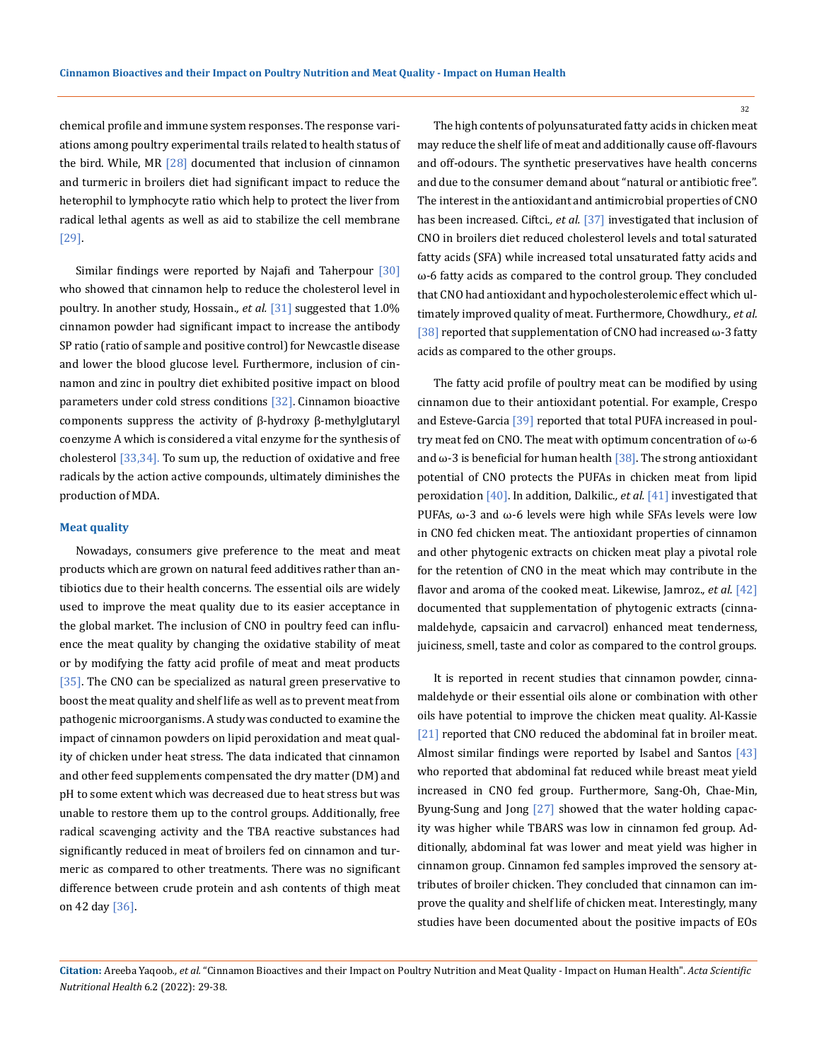chemical profile and immune system responses. The response variations among poultry experimental trails related to health status of the bird. While, MR  $[28]$  documented that inclusion of cinnamon and turmeric in broilers diet had significant impact to reduce the heterophil to lymphocyte ratio which help to protect the liver from radical lethal agents as well as aid to stabilize the cell membrane [29].

Similar findings were reported by Najafi and Taherpour [30] who showed that cinnamon help to reduce the cholesterol level in poultry. In another study, Hossain.*, et al.* [31] suggested that 1.0% cinnamon powder had significant impact to increase the antibody SP ratio (ratio of sample and positive control) for Newcastle disease and lower the blood glucose level. Furthermore, inclusion of cinnamon and zinc in poultry diet exhibited positive impact on blood parameters under cold stress conditions  $[32]$ . Cinnamon bioactive components suppress the activity of β-hydroxy β-methylglutaryl coenzyme A which is considered a vital enzyme for the synthesis of cholesterol  $[33,34]$ . To sum up, the reduction of oxidative and free radicals by the action active compounds, ultimately diminishes the production of MDA.

#### **Meat quality**

Nowadays, consumers give preference to the meat and meat products which are grown on natural feed additives rather than antibiotics due to their health concerns. The essential oils are widely used to improve the meat quality due to its easier acceptance in the global market. The inclusion of CNO in poultry feed can influence the meat quality by changing the oxidative stability of meat or by modifying the fatty acid profile of meat and meat products [35]. The CNO can be specialized as natural green preservative to boost the meat quality and shelf life as well as to prevent meat from pathogenic microorganisms. A study was conducted to examine the impact of cinnamon powders on lipid peroxidation and meat quality of chicken under heat stress. The data indicated that cinnamon and other feed supplements compensated the dry matter (DM) and pH to some extent which was decreased due to heat stress but was unable to restore them up to the control groups. Additionally, free radical scavenging activity and the TBA reactive substances had significantly reduced in meat of broilers fed on cinnamon and turmeric as compared to other treatments. There was no significant difference between crude protein and ash contents of thigh meat on 42 day [36].

The high contents of polyunsaturated fatty acids in chicken meat may reduce the shelf life of meat and additionally cause off-flavours and off-odours. The synthetic preservatives have health concerns and due to the consumer demand about "natural or antibiotic free". The interest in the antioxidant and antimicrobial properties of CNO has been increased. Ciftci., et al. [37] investigated that inclusion of CNO in broilers diet reduced cholesterol levels and total saturated fatty acids (SFA) while increased total unsaturated fatty acids and ω-6 fatty acids as compared to the control group. They concluded that CNO had antioxidant and hypocholesterolemic effect which ultimately improved quality of meat. Furthermore, Chowdhury.*, et al.* [38] reported that supplementation of CNO had increased  $\omega$ -3 fatty acids as compared to the other groups.

The fatty acid profile of poultry meat can be modified by using cinnamon due to their antioxidant potential. For example, Crespo and Esteve-Garcia [39] reported that total PUFA increased in poultry meat fed on CNO. The meat with optimum concentration of ω-6 and  $\omega$ -3 is beneficial for human health [38]. The strong antioxidant potential of CNO protects the PUFAs in chicken meat from lipid peroxidation [40]. In addition, Dalkilic.*, et al.* [41] investigated that PUFAs, ω-3 and ω-6 levels were high while SFAs levels were low in CNO fed chicken meat. The antioxidant properties of cinnamon and other phytogenic extracts on chicken meat play a pivotal role for the retention of CNO in the meat which may contribute in the flavor and aroma of the cooked meat. Likewise, Jamroz.*, et al.* [42] documented that supplementation of phytogenic extracts (cinnamaldehyde, capsaicin and carvacrol) enhanced meat tenderness, juiciness, smell, taste and color as compared to the control groups.

It is reported in recent studies that cinnamon powder, cinnamaldehyde or their essential oils alone or combination with other oils have potential to improve the chicken meat quality. Al-Kassie [21] reported that CNO reduced the abdominal fat in broiler meat. Almost similar findings were reported by Isabel and Santos  $[43]$ who reported that abdominal fat reduced while breast meat yield increased in CNO fed group. Furthermore, Sang-Oh, Chae-Min, Byung-Sung and Jong [27] showed that the water holding capacity was higher while TBARS was low in cinnamon fed group. Additionally, abdominal fat was lower and meat yield was higher in cinnamon group. Cinnamon fed samples improved the sensory attributes of broiler chicken. They concluded that cinnamon can improve the quality and shelf life of chicken meat. Interestingly, many studies have been documented about the positive impacts of EOs

**Citation:** Areeba Yaqoob*., et al.* "Cinnamon Bioactives and their Impact on Poultry Nutrition and Meat Quality - Impact on Human Health". *Acta Scientific Nutritional Health* 6.2 (2022): 29-38.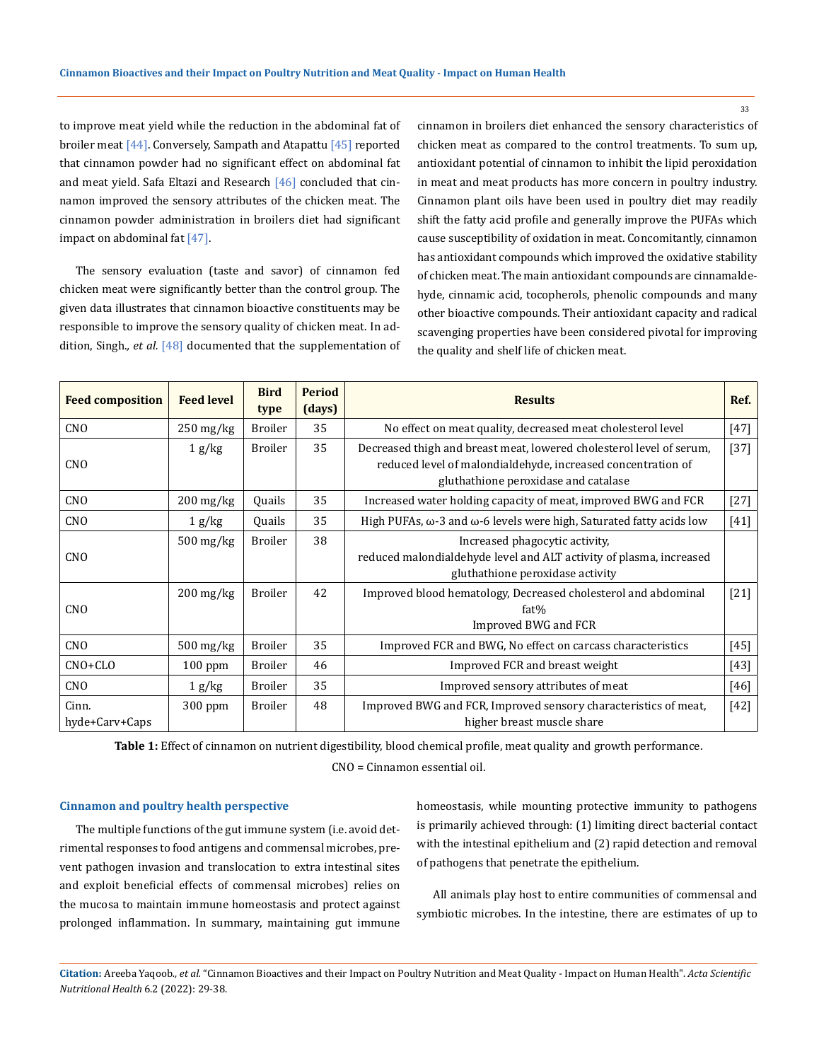to improve meat yield while the reduction in the abdominal fat of broiler meat [44]. Conversely, Sampath and Atapattu [45] reported that cinnamon powder had no significant effect on abdominal fat and meat yield. Safa Eltazi and Research [46] concluded that cinnamon improved the sensory attributes of the chicken meat. The cinnamon powder administration in broilers diet had significant impact on abdominal fat [47].

The sensory evaluation (taste and savor) of cinnamon fed chicken meat were significantly better than the control group. The given data illustrates that cinnamon bioactive constituents may be responsible to improve the sensory quality of chicken meat. In addition, Singh.*, et al.* [48] documented that the supplementation of cinnamon in broilers diet enhanced the sensory characteristics of chicken meat as compared to the control treatments. To sum up, antioxidant potential of cinnamon to inhibit the lipid peroxidation in meat and meat products has more concern in poultry industry. Cinnamon plant oils have been used in poultry diet may readily shift the fatty acid profile and generally improve the PUFAs which cause susceptibility of oxidation in meat. Concomitantly, cinnamon has antioxidant compounds which improved the oxidative stability of chicken meat. The main antioxidant compounds are cinnamaldehyde, cinnamic acid, tocopherols, phenolic compounds and many other bioactive compounds. Their antioxidant capacity and radical scavenging properties have been considered pivotal for improving the quality and shelf life of chicken meat.

| <b>Feed composition</b> | <b>Feed level</b>      | <b>Bird</b><br>type | <b>Period</b><br>(days) | <b>Results</b>                                                                                                                                                               | Ref.   |
|-------------------------|------------------------|---------------------|-------------------------|------------------------------------------------------------------------------------------------------------------------------------------------------------------------------|--------|
| CN <sub>O</sub>         | $250$ mg/kg            | <b>Broiler</b>      | 35                      | No effect on meat quality, decreased meat cholesterol level                                                                                                                  | $[47]$ |
| <b>CNO</b>              | 1 g/kg                 | <b>Broiler</b>      | 35                      | Decreased thigh and breast meat, lowered cholesterol level of serum,<br>reduced level of malondialdehyde, increased concentration of<br>gluthathione peroxidase and catalase | $[37]$ |
| <b>CNO</b>              | $200$ mg/kg            | Ouails              | 35                      | Increased water holding capacity of meat, improved BWG and FCR                                                                                                               | $[27]$ |
| CN <sub>O</sub>         | 1 g/kg                 | Quails              | 35                      | High PUFAs, $\omega$ -3 and $\omega$ -6 levels were high, Saturated fatty acids low                                                                                          | $[41]$ |
| <b>CNO</b>              | $500$ mg/kg            | <b>Broiler</b>      | 38                      | Increased phagocytic activity,<br>reduced malondialdehyde level and ALT activity of plasma, increased<br>gluthathione peroxidase activity                                    |        |
| <b>CNO</b>              | $200 \,\mathrm{mg/kg}$ | <b>Broiler</b>      | 42                      | Improved blood hematology, Decreased cholesterol and abdominal<br>fat%<br>Improved BWG and FCR                                                                               | $[21]$ |
| <b>CNO</b>              | $500$ mg/kg            | <b>Broiler</b>      | 35                      | Improved FCR and BWG, No effect on carcass characteristics                                                                                                                   | $[45]$ |
| $CNO+CLO$               | $100$ ppm              | <b>Broiler</b>      | 46                      | Improved FCR and breast weight                                                                                                                                               | $[43]$ |
| <b>CNO</b>              | 1 g/kg                 | <b>Broiler</b>      | 35                      | Improved sensory attributes of meat                                                                                                                                          | $[46]$ |
| Cinn.<br>hyde+Carv+Caps | $300$ ppm              | <b>Broiler</b>      | 48                      | Improved BWG and FCR, Improved sensory characteristics of meat,<br>higher breast muscle share                                                                                | $[42]$ |

**Table 1:** Effect of cinnamon on nutrient digestibility, blood chemical profile, meat quality and growth performance. CNO = Cinnamon essential oil.

### **Cinnamon and poultry health perspective**

The multiple functions of the gut immune system (i.e. avoid detrimental responses to food antigens and commensal microbes, prevent pathogen invasion and translocation to extra intestinal sites and exploit beneficial effects of commensal microbes) relies on the mucosa to maintain immune homeostasis and protect against prolonged inflammation. In summary, maintaining gut immune homeostasis, while mounting protective immunity to pathogens is primarily achieved through: (1) limiting direct bacterial contact with the intestinal epithelium and (2) rapid detection and removal of pathogens that penetrate the epithelium.

All animals play host to entire communities of commensal and symbiotic microbes. In the intestine, there are estimates of up to

**Citation:** Areeba Yaqoob*., et al.* "Cinnamon Bioactives and their Impact on Poultry Nutrition and Meat Quality - Impact on Human Health". *Acta Scientific Nutritional Health* 6.2 (2022): 29-38.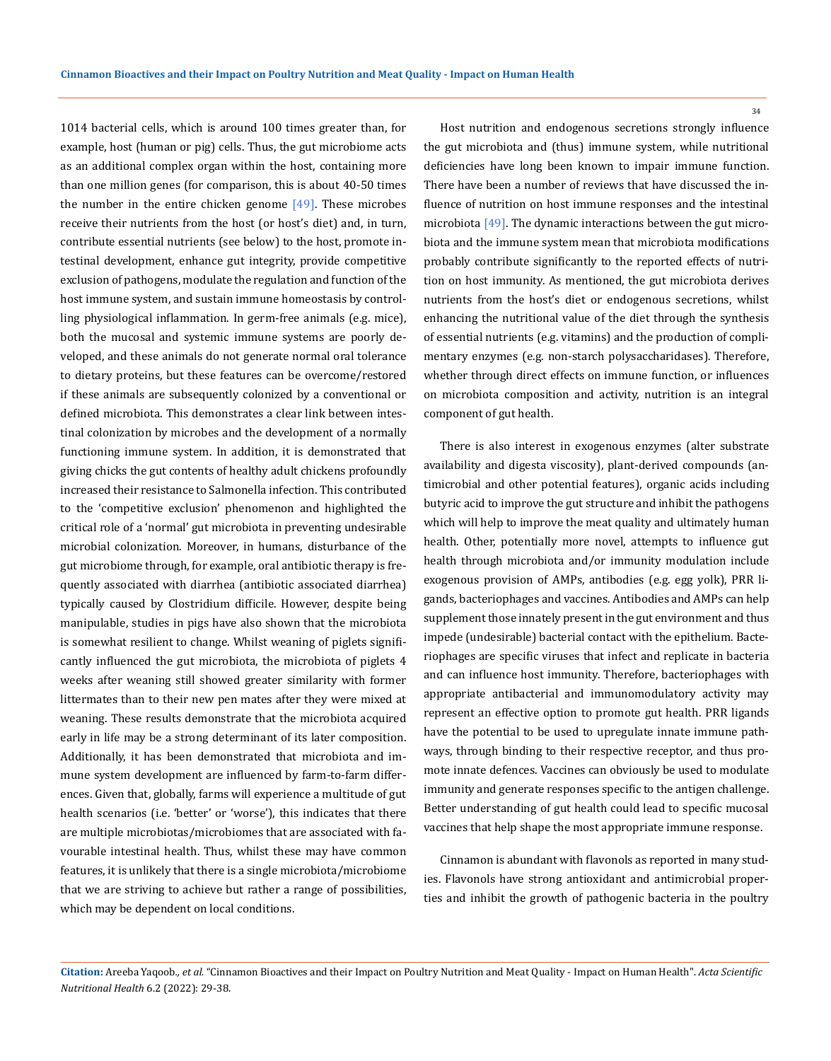1014 bacterial cells, which is around 100 times greater than, for example, host (human or pig) cells. Thus, the gut microbiome acts as an additional complex organ within the host, containing more than one million genes (for comparison, this is about 40-50 times the number in the entire chicken genome  $[49]$ . These microbes receive their nutrients from the host (or host's diet) and, in turn, contribute essential nutrients (see below) to the host, promote intestinal development, enhance gut integrity, provide competitive exclusion of pathogens, modulate the regulation and function of the host immune system, and sustain immune homeostasis by controlling physiological inflammation. In germ-free animals (e.g. mice), both the mucosal and systemic immune systems are poorly developed, and these animals do not generate normal oral tolerance to dietary proteins, but these features can be overcome/restored if these animals are subsequently colonized by a conventional or defined microbiota. This demonstrates a clear link between intestinal colonization by microbes and the development of a normally functioning immune system. In addition, it is demonstrated that giving chicks the gut contents of healthy adult chickens profoundly increased their resistance to Salmonella infection. This contributed to the 'competitive exclusion' phenomenon and highlighted the critical role of a 'normal' gut microbiota in preventing undesirable microbial colonization. Moreover, in humans, disturbance of the gut microbiome through, for example, oral antibiotic therapy is frequently associated with diarrhea (antibiotic associated diarrhea) typically caused by Clostridium difficile. However, despite being manipulable, studies in pigs have also shown that the microbiota is somewhat resilient to change. Whilst weaning of piglets significantly influenced the gut microbiota, the microbiota of piglets 4 weeks after weaning still showed greater similarity with former littermates than to their new pen mates after they were mixed at weaning. These results demonstrate that the microbiota acquired early in life may be a strong determinant of its later composition. Additionally, it has been demonstrated that microbiota and immune system development are influenced by farm-to-farm differences. Given that, globally, farms will experience a multitude of gut health scenarios (i.e. 'better' or 'worse'), this indicates that there are multiple microbiotas/microbiomes that are associated with favourable intestinal health. Thus, whilst these may have common features, it is unlikely that there is a single microbiota/microbiome that we are striving to achieve but rather a range of possibilities, which may be dependent on local conditions.

Host nutrition and endogenous secretions strongly influence the gut microbiota and (thus) immune system, while nutritional deficiencies have long been known to impair immune function. There have been a number of reviews that have discussed the influence of nutrition on host immune responses and the intestinal microbiota [49]. The dynamic interactions between the gut microbiota and the immune system mean that microbiota modifications probably contribute significantly to the reported effects of nutrition on host immunity. As mentioned, the gut microbiota derives nutrients from the host's diet or endogenous secretions, whilst enhancing the nutritional value of the diet through the synthesis of essential nutrients (e.g. vitamins) and the production of complimentary enzymes (e.g. non-starch polysaccharidases). Therefore, whether through direct effects on immune function, or influences on microbiota composition and activity, nutrition is an integral component of gut health.

There is also interest in exogenous enzymes (alter substrate availability and digesta viscosity), plant-derived compounds (antimicrobial and other potential features), organic acids including butyric acid to improve the gut structure and inhibit the pathogens which will help to improve the meat quality and ultimately human health. Other, potentially more novel, attempts to influence gut health through microbiota and/or immunity modulation include exogenous provision of AMPs, antibodies (e.g. egg yolk), PRR ligands, bacteriophages and vaccines. Antibodies and AMPs can help supplement those innately present in the gut environment and thus impede (undesirable) bacterial contact with the epithelium. Bacteriophages are specific viruses that infect and replicate in bacteria and can influence host immunity. Therefore, bacteriophages with appropriate antibacterial and immunomodulatory activity may represent an effective option to promote gut health. PRR ligands have the potential to be used to upregulate innate immune pathways, through binding to their respective receptor, and thus promote innate defences. Vaccines can obviously be used to modulate immunity and generate responses specific to the antigen challenge. Better understanding of gut health could lead to specific mucosal vaccines that help shape the most appropriate immune response.

Cinnamon is abundant with flavonols as reported in many studies. Flavonols have strong antioxidant and antimicrobial properties and inhibit the growth of pathogenic bacteria in the poultry

**Citation:** Areeba Yaqoob*., et al.* "Cinnamon Bioactives and their Impact on Poultry Nutrition and Meat Quality - Impact on Human Health". *Acta Scientific Nutritional Health* 6.2 (2022): 29-38.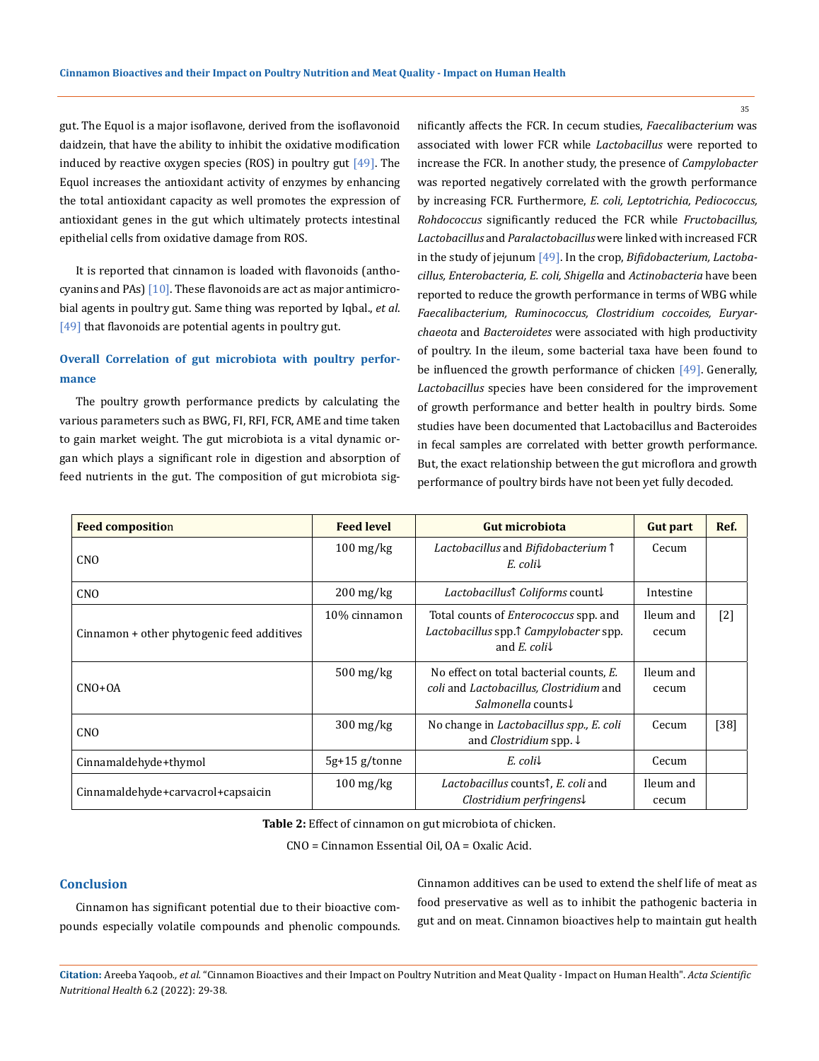gut. The Equol is a major isoflavone, derived from the isoflavonoid daidzein, that have the ability to inhibit the oxidative modification induced by reactive oxygen species (ROS) in poultry gut  $[49]$ . The Equol increases the antioxidant activity of enzymes by enhancing the total antioxidant capacity as well promotes the expression of antioxidant genes in the gut which ultimately protects intestinal epithelial cells from oxidative damage from ROS.

It is reported that cinnamon is loaded with flavonoids (anthocyanins and PAs)  $[10]$ . These flavonoids are act as major antimicrobial agents in poultry gut. Same thing was reported by Iqbal., *et al*. [49] that flavonoids are potential agents in poultry gut.

## **Overall Correlation of gut microbiota with poultry performance**

The poultry growth performance predicts by calculating the various parameters such as BWG, FI, RFI, FCR, AME and time taken to gain market weight. The gut microbiota is a vital dynamic organ which plays a significant role in digestion and absorption of feed nutrients in the gut. The composition of gut microbiota significantly affects the FCR. In cecum studies, *Faecalibacterium* was associated with lower FCR while *Lactobacillus* were reported to increase the FCR. In another study, the presence of *Campylobacter* was reported negatively correlated with the growth performance by increasing FCR. Furthermore, *E. coli, Leptotrichia, Pediococcus, Rohdococcus* significantly reduced the FCR while *Fructobacillus, Lactobacillus* and *Paralactobacillus* were linked with increased FCR in the study of jejunum [49]. In the crop, *Bifidobacterium, Lactobacillus, Enterobacteria, E. coli, Shigella* and *Actinobacteria* have been reported to reduce the growth performance in terms of WBG while *Faecalibacterium, Ruminococcus, Clostridium coccoides, Euryarchaeota* and *Bacteroidetes* were associated with high productivity of poultry. In the ileum, some bacterial taxa have been found to be influenced the growth performance of chicken [49]. Generally, *Lactobacillus* species have been considered for the improvement of growth performance and better health in poultry birds. Some studies have been documented that Lactobacillus and Bacteroides in fecal samples are correlated with better growth performance. But, the exact relationship between the gut microflora and growth performance of poultry birds have not been yet fully decoded.

| <b>Feed composition</b>                    | <b>Feed level</b>      | <b>Gut microbiota</b>                                                                                                                              | <b>Gut part</b>    | Ref.   |
|--------------------------------------------|------------------------|----------------------------------------------------------------------------------------------------------------------------------------------------|--------------------|--------|
| CN <sub>O</sub>                            | $100 \,\mathrm{mg/kg}$ | Lactobacillus and Bifidobacterium 1<br>$E$ . coli $\downarrow$                                                                                     | Cecum              |        |
| <b>CNO</b>                                 | $200 \,\mathrm{mg/kg}$ | <i>Lactobacillus</i> ↑ <i>Coliforms</i> count↓                                                                                                     | Intestine          |        |
| Cinnamon + other phytogenic feed additives | 10% cinnamon           | Total counts of <i>Enterococcus</i> spp. and<br>Lactobacillus spp. <sup><math>\uparrow</math></sup> Campylobacter spp.<br>and E. coli $\downarrow$ | Ileum and<br>cecum | $[2]$  |
| $CNO+OA$                                   | $500$ mg/kg            | No effect on total bacterial counts, E.<br>coli and Lactobacillus, Clostridium and<br>Salmonella counts!                                           | Ileum and<br>cecum |        |
| <b>CNO</b>                                 | $300 \,\mathrm{mg/kg}$ | No change in <i>Lactobacillus spp., E. coli</i><br>and <i>Clostridium</i> spp. $\downarrow$                                                        | Cecum              | $[38]$ |
| Cinnamaldehyde+thymol                      | $5g+15g$ /tonne        | $E$ . coli $\downarrow$                                                                                                                            | Cecum              |        |
| Cinnamaldehyde+carvacrol+capsaicin         | $100 \,\mathrm{mg/kg}$ | Lactobacillus counts <sup>†</sup> , E. coli and<br>$Clostridium perfringens\downarrow$                                                             | Ileum and<br>cecum |        |

**Table 2:** Effect of cinnamon on gut microbiota of chicken.

CNO = Cinnamon Essential Oil, OA = Oxalic Acid.

## **Conclusion**

Cinnamon has significant potential due to their bioactive compounds especially volatile compounds and phenolic compounds. Cinnamon additives can be used to extend the shelf life of meat as food preservative as well as to inhibit the pathogenic bacteria in gut and on meat. Cinnamon bioactives help to maintain gut health

**Citation:** Areeba Yaqoob*., et al.* "Cinnamon Bioactives and their Impact on Poultry Nutrition and Meat Quality - Impact on Human Health". *Acta Scientific Nutritional Health* 6.2 (2022): 29-38.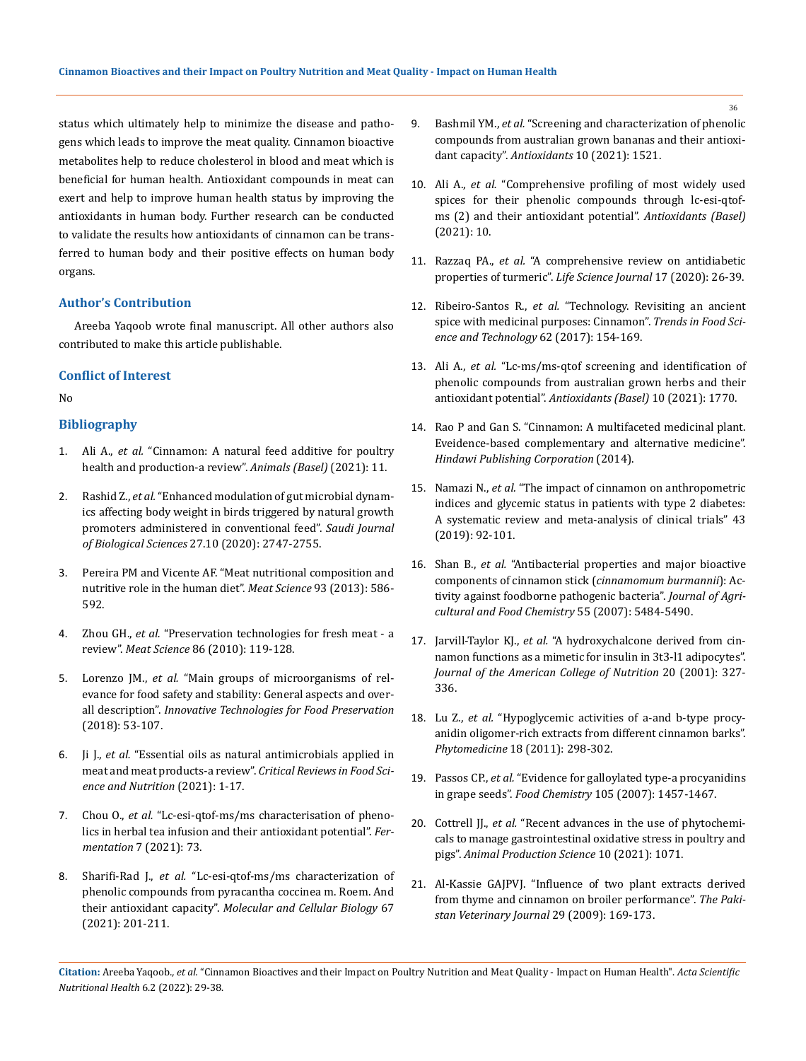status which ultimately help to minimize the disease and pathogens which leads to improve the meat quality. Cinnamon bioactive metabolites help to reduce cholesterol in blood and meat which is beneficial for human health. Antioxidant compounds in meat can exert and help to improve human health status by improving the antioxidants in human body. Further research can be conducted to validate the results how antioxidants of cinnamon can be transferred to human body and their positive effects on human body organs.

## **Author's Contribution**

Areeba Yaqoob wrote final manuscript. All other authors also contributed to make this article publishable.

## **Conflict of Interest**

No

## **Bibliography**

- 1. Ali A., *et al.* ["Cinnamon: A natural feed additive for poultry](https://www.mdpi.com/2076-2615/11/7/2026)  [health and production-a review".](https://www.mdpi.com/2076-2615/11/7/2026) *Animals (Basel)* (2021): 11.
- 2. Rashid Z., *et al.* ["Enhanced modulation of gut microbial dynam](https://pubmed.ncbi.nlm.nih.gov/32994734/)[ics affecting body weight in birds triggered by natural growth](https://pubmed.ncbi.nlm.nih.gov/32994734/)  [promoters administered in conventional feed".](https://pubmed.ncbi.nlm.nih.gov/32994734/) *Saudi Journal of Biological Sciences* [27.10 \(2020\): 2747-2755.](https://pubmed.ncbi.nlm.nih.gov/32994734/)
- 3. [Pereira PM and Vicente AF. "Meat nutritional composition and](https://pubmed.ncbi.nlm.nih.gov/23273468/)  [nutritive role in the human diet".](https://pubmed.ncbi.nlm.nih.gov/23273468/) *Meat Science* 93 (2013): 586- [592.](https://pubmed.ncbi.nlm.nih.gov/23273468/)
- 4. Zhou GH., *et al.* ["Preservation technologies for fresh meat a](https://www.sciencedirect.com/science/article/abs/pii/S0309174010001658)  review". *Meat Science* [86 \(2010\): 119-128.](https://www.sciencedirect.com/science/article/abs/pii/S0309174010001658)
- 5. Lorenzo JM., *et al.* ["Main groups of microorganisms of rel](https://www.sciencedirect.com/science/article/pii/B9780128110317000030)[evance for food safety and stability: General aspects and over](https://www.sciencedirect.com/science/article/pii/B9780128110317000030)all description". *[Innovative Technologies for Food Preservation](https://www.sciencedirect.com/science/article/pii/B9780128110317000030)* [\(2018\): 53-107.](https://www.sciencedirect.com/science/article/pii/B9780128110317000030)
- 6. Ji J., *et al.* ["Essential oils as natural antimicrobials applied in](https://pubmed.ncbi.nlm.nih.gov/34309444/)  [meat and meat products-a review".](https://pubmed.ncbi.nlm.nih.gov/34309444/) *Critical Reviews in Food Sci[ence and Nutrition](https://pubmed.ncbi.nlm.nih.gov/34309444/)* (2021): 1-17.
- 7. Chou O., *et al.* ["Lc-esi-qtof-ms/ms characterisation of pheno](https://www.mdpi.com/2311-5637/7/2/73)[lics in herbal tea infusion and their antioxidant potential".](https://www.mdpi.com/2311-5637/7/2/73) *Fermentation* [7 \(2021\): 73.](https://www.mdpi.com/2311-5637/7/2/73)
- 8. Sharifi-Rad J., *et al.* ["Lc-esi-qtof-ms/ms characterization of](https://pubmed.ncbi.nlm.nih.gov/34817347/)  [phenolic compounds from pyracantha coccinea m. Roem. And](https://pubmed.ncbi.nlm.nih.gov/34817347/)  their antioxidant capacity". *[Molecular and Cellular Biology](https://pubmed.ncbi.nlm.nih.gov/34817347/)* 67 [\(2021\): 201-211.](https://pubmed.ncbi.nlm.nih.gov/34817347/)
- 9. Bashmil YM., *et al.* ["Screening and characterization of phenolic](https://www.ncbi.nlm.nih.gov/pmc/articles/PMC8532736/)  [compounds from australian grown bananas and their antioxi](https://www.ncbi.nlm.nih.gov/pmc/articles/PMC8532736/)dant capacity". *Antioxidants* [10 \(2021\): 1521.](https://www.ncbi.nlm.nih.gov/pmc/articles/PMC8532736/)
- 10. Ali A., *et al.* ["Comprehensive profiling of most widely used](https://www.mdpi.com/2076-3921/10/5/721)  [spices for their phenolic compounds through lc-esi-qtof](https://www.mdpi.com/2076-3921/10/5/721)[ms \(2\) and their antioxidant potential".](https://www.mdpi.com/2076-3921/10/5/721) *Antioxidants (Basel)* [\(2021\): 10.](https://www.mdpi.com/2076-3921/10/5/721)
- 11. Razzaq PA., *et al.* ["A comprehensive review on antidiabetic](https://www.researchgate.net/publication/344589152_A_comprehensive_review_on_antidiabetic_properties_of_turmeric)  properties of turmeric". *[Life Science Journal](https://www.researchgate.net/publication/344589152_A_comprehensive_review_on_antidiabetic_properties_of_turmeric)* 17 (2020): 26-39.
- 12. Ribeiro-Santos R., *et al.* ["Technology. Revisiting an ancient](https://www.researchgate.net/publication/314129175_Revisiting_an_ancient_spice_with_medicinal_purposes_Cinnamon)  [spice with medicinal purposes: Cinnamon".](https://www.researchgate.net/publication/314129175_Revisiting_an_ancient_spice_with_medicinal_purposes_Cinnamon) *Trends in Food Sci[ence and Technology](https://www.researchgate.net/publication/314129175_Revisiting_an_ancient_spice_with_medicinal_purposes_Cinnamon)* 62 (2017): 154-169.
- 13. Ali A., *et al.* ["Lc-ms/ms-qtof screening and identification of](https://www.mdpi.com/2076-3921/10/11/1770)  [phenolic compounds from australian grown herbs and their](https://www.mdpi.com/2076-3921/10/11/1770)  antioxidant potential". *[Antioxidants \(Basel\)](https://www.mdpi.com/2076-3921/10/11/1770)* 10 (2021): 1770.
- 14. [Rao P and Gan S. "Cinnamon: A multifaceted medicinal plant.](https://www.ncbi.nlm.nih.gov/pmc/articles/PMC4003790/)  [Eveidence-based complementary and alternative medicine".](https://www.ncbi.nlm.nih.gov/pmc/articles/PMC4003790/)  *[Hindawi Publishing Corporation](https://www.ncbi.nlm.nih.gov/pmc/articles/PMC4003790/)* (2014).
- 15. Namazi N., *et al.* "The impact of cinnamon on anthropometric indices and glycemic status in patients with type 2 diabetes: A systematic review and meta-analysis of clinical trials" 43 (2019): 92-101.
- 16. Shan B., *et al.* ["Antibacterial properties and major bioactive](https://pubs.acs.org/doi/10.1021/jf070424d)  [components of cinnamon stick \(](https://pubs.acs.org/doi/10.1021/jf070424d)*cinnamomum burmannii*): Ac[tivity against foodborne pathogenic bacteria".](https://pubs.acs.org/doi/10.1021/jf070424d) *Journal of Agri[cultural and Food Chemistry](https://pubs.acs.org/doi/10.1021/jf070424d)* 55 (2007): 5484-5490.
- 17. Jarvill-Taylor KJ., *et al.* ["A hydroxychalcone derived from cin](https://pubmed.ncbi.nlm.nih.gov/11506060/)[namon functions as a mimetic for insulin in 3t3-l1 adipocytes".](https://pubmed.ncbi.nlm.nih.gov/11506060/)  *[Journal of the American College of Nutrition](https://pubmed.ncbi.nlm.nih.gov/11506060/)* 20 (2001): 327- [336.](https://pubmed.ncbi.nlm.nih.gov/11506060/)
- 18. Lu Z., *et al.* ["Hypoglycemic activities of a-and b-type procy](https://pubmed.ncbi.nlm.nih.gov/20851586/)[anidin oligomer-rich extracts from different cinnamon barks".](https://pubmed.ncbi.nlm.nih.gov/20851586/)  *Phytomedicine* [18 \(2011\): 298-302.](https://pubmed.ncbi.nlm.nih.gov/20851586/)
- 19. Passos CP., *et al.* ["Evidence for galloylated type-a procyanidins](https://www.sciencedirect.com/science/article/abs/pii/S0308814607004700)  in grape seeds". *Food Chemistry* [105 \(2007\): 1457-1467.](https://www.sciencedirect.com/science/article/abs/pii/S0308814607004700)
- 20. Cottrell JJ., *et al.* ["Recent advances in the use of phytochemi](https://www.researchgate.net/publication/352748765_Recent_advances_in_the_use_of_phytochemicals_to_manage_gastrointestinal_oxidative_stress_in_poultry_and_pigs)[cals to manage gastrointestinal oxidative stress in poultry and](https://www.researchgate.net/publication/352748765_Recent_advances_in_the_use_of_phytochemicals_to_manage_gastrointestinal_oxidative_stress_in_poultry_and_pigs)  pigs". *[Animal Production Science](https://www.researchgate.net/publication/352748765_Recent_advances_in_the_use_of_phytochemicals_to_manage_gastrointestinal_oxidative_stress_in_poultry_and_pigs)* 10 (2021): 1071.
- 21. [Al-Kassie GAJPVJ. "Influence of two plant extracts derived](http://pvj.com.pk/pdf-files/29_4/169-173.pdf)  [from thyme and cinnamon on broiler performance".](http://pvj.com.pk/pdf-files/29_4/169-173.pdf) *The Paki[stan Veterinary Journal](http://pvj.com.pk/pdf-files/29_4/169-173.pdf)* 29 (2009): 169-173.

**Citation:** Areeba Yaqoob*., et al.* "Cinnamon Bioactives and their Impact on Poultry Nutrition and Meat Quality - Impact on Human Health". *Acta Scientific Nutritional Health* 6.2 (2022): 29-38.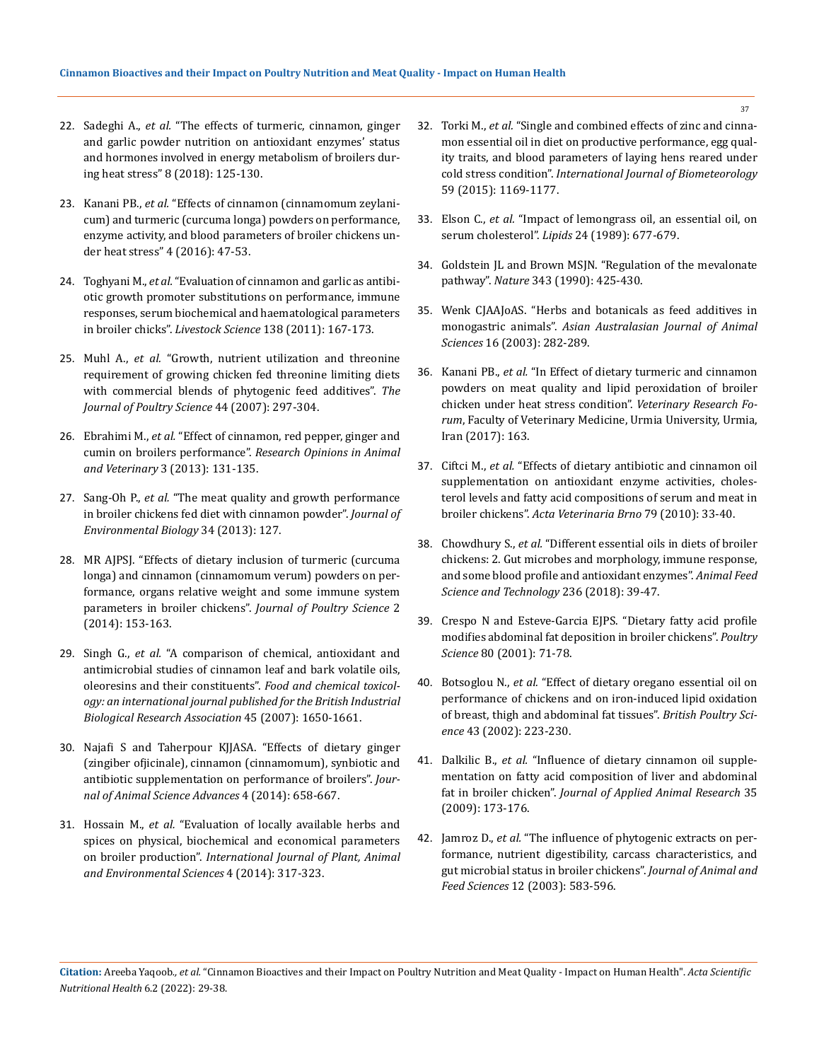- 22. Sadeghi A., *et al.* ["The effects of turmeric, cinnamon, ginger](https://www.researchgate.net/publication/323724563_The_effects_of_turmeric_cinnamon_ginger_and_garlic_powder_nutrition_on_antioxidant_enzymes%27_status_and_hormones_involved_in_energy_metabolism_of_broilers_during_heat_stress)  [and garlic powder nutrition on antioxidant enzymes' status](https://www.researchgate.net/publication/323724563_The_effects_of_turmeric_cinnamon_ginger_and_garlic_powder_nutrition_on_antioxidant_enzymes%27_status_and_hormones_involved_in_energy_metabolism_of_broilers_during_heat_stress)  [and hormones involved in energy metabolism of broilers dur](https://www.researchgate.net/publication/323724563_The_effects_of_turmeric_cinnamon_ginger_and_garlic_powder_nutrition_on_antioxidant_enzymes%27_status_and_hormones_involved_in_energy_metabolism_of_broilers_during_heat_stress)[ing heat stress" 8 \(2018\): 125-130.](https://www.researchgate.net/publication/323724563_The_effects_of_turmeric_cinnamon_ginger_and_garlic_powder_nutrition_on_antioxidant_enzymes%27_status_and_hormones_involved_in_energy_metabolism_of_broilers_during_heat_stress)
- 23. Kanani PB., *et al.* ["Effects of cinnamon \(cinnamomum zeylani](https://www.researchgate.net/publication/316692005_Effects_of_Cinnamon_Cinnamomum_zeylanicum_and_Turmeric_Curcuma_longa_Powders_on_Performance_Enzyme_Activity_and_Blood_Parameters_of_Broiler_Chickens_Under_Heat_Stress)[cum\) and turmeric \(curcuma longa\) powders on performance,](https://www.researchgate.net/publication/316692005_Effects_of_Cinnamon_Cinnamomum_zeylanicum_and_Turmeric_Curcuma_longa_Powders_on_Performance_Enzyme_Activity_and_Blood_Parameters_of_Broiler_Chickens_Under_Heat_Stress)  [enzyme activity, and blood parameters of broiler chickens un](https://www.researchgate.net/publication/316692005_Effects_of_Cinnamon_Cinnamomum_zeylanicum_and_Turmeric_Curcuma_longa_Powders_on_Performance_Enzyme_Activity_and_Blood_Parameters_of_Broiler_Chickens_Under_Heat_Stress)[der heat stress" 4 \(2016\): 47-53.](https://www.researchgate.net/publication/316692005_Effects_of_Cinnamon_Cinnamomum_zeylanicum_and_Turmeric_Curcuma_longa_Powders_on_Performance_Enzyme_Activity_and_Blood_Parameters_of_Broiler_Chickens_Under_Heat_Stress)
- 24. Toghyani M., *et al.* ["Evaluation of cinnamon and garlic as antibi](https://www.sciencedirect.com/science/article/abs/pii/S1871141310006335)[otic growth promoter substitutions on performance, immune](https://www.sciencedirect.com/science/article/abs/pii/S1871141310006335)  [responses, serum biochemical and haematological parameters](https://www.sciencedirect.com/science/article/abs/pii/S1871141310006335)  in broiler chicks". *Livestock Science* [138 \(2011\): 167-173.](https://www.sciencedirect.com/science/article/abs/pii/S1871141310006335)
- 25. Muhl A., *et al.* ["Growth, nutrient utilization and threonine](https://www.researchgate.net/publication/240789995_Growth_Nutrient_Utilization_and_Threonine_Requirement_of_Growing_Chicken_Fed_Threonine_Limiting_Diets_with_Commercial_Blends_of_Phytogenic_Feed_Additives)  [requirement of growing chicken fed threonine limiting diets](https://www.researchgate.net/publication/240789995_Growth_Nutrient_Utilization_and_Threonine_Requirement_of_Growing_Chicken_Fed_Threonine_Limiting_Diets_with_Commercial_Blends_of_Phytogenic_Feed_Additives)  [with commercial blends of phytogenic feed additives".](https://www.researchgate.net/publication/240789995_Growth_Nutrient_Utilization_and_Threonine_Requirement_of_Growing_Chicken_Fed_Threonine_Limiting_Diets_with_Commercial_Blends_of_Phytogenic_Feed_Additives) *The [Journal of Poultry Science](https://www.researchgate.net/publication/240789995_Growth_Nutrient_Utilization_and_Threonine_Requirement_of_Growing_Chicken_Fed_Threonine_Limiting_Diets_with_Commercial_Blends_of_Phytogenic_Feed_Additives)* 44 (2007): 297-304.
- 26. Ebrahimi M., *et al.* ["Effect of cinnamon, red pepper, ginger and](https://www.researchgate.net/publication/269436001_Effect_of_cinnamon_red_pepper_ginger_and_cumin_on_broilers_performance)  cumin on broilers performance". *[Research Opinions in Animal](https://www.researchgate.net/publication/269436001_Effect_of_cinnamon_red_pepper_ginger_and_cumin_on_broilers_performance)  and Veterinary* [3 \(2013\): 131-135.](https://www.researchgate.net/publication/269436001_Effect_of_cinnamon_red_pepper_ginger_and_cumin_on_broilers_performance)
- 27. Sang-Oh P., *et al.* ["The meat quality and growth performance](https://pubmed.ncbi.nlm.nih.gov/24006819/)  [in broiler chickens fed diet with cinnamon powder".](https://pubmed.ncbi.nlm.nih.gov/24006819/) *Journal of [Environmental Biology](https://pubmed.ncbi.nlm.nih.gov/24006819/)* 34 (2013): 127.
- 28. [MR AJPSJ. "Effects of dietary inclusion of turmeric \(curcuma](https://psj.gau.ac.ir/article_1963.html)  [longa\) and cinnamon \(cinnamomum verum\) powders on per](https://psj.gau.ac.ir/article_1963.html)[formance, organs relative weight and some immune system](https://psj.gau.ac.ir/article_1963.html)  [parameters in broiler chickens".](https://psj.gau.ac.ir/article_1963.html) *Journal of Poultry Science* 2 [\(2014\): 153-163.](https://psj.gau.ac.ir/article_1963.html)
- 29. Singh G., *et al.* ["A comparison of chemical, antioxidant and](https://www.researchgate.net/publication/6412798_A_comparison_of_chemical_antioxidant_and_antimicrobial_studies_of_cinnamon_leaf_and_bark_volatile_oils_oleoresins_and_their_constituent)  [antimicrobial studies of cinnamon leaf and bark volatile oils,](https://www.researchgate.net/publication/6412798_A_comparison_of_chemical_antioxidant_and_antimicrobial_studies_of_cinnamon_leaf_and_bark_volatile_oils_oleoresins_and_their_constituent)  [oleoresins and their constituents".](https://www.researchgate.net/publication/6412798_A_comparison_of_chemical_antioxidant_and_antimicrobial_studies_of_cinnamon_leaf_and_bark_volatile_oils_oleoresins_and_their_constituent) *Food and chemical toxicol[ogy: an international journal published for the British Industrial](https://www.researchgate.net/publication/6412798_A_comparison_of_chemical_antioxidant_and_antimicrobial_studies_of_cinnamon_leaf_and_bark_volatile_oils_oleoresins_and_their_constituent)  [Biological Research Association](https://www.researchgate.net/publication/6412798_A_comparison_of_chemical_antioxidant_and_antimicrobial_studies_of_cinnamon_leaf_and_bark_volatile_oils_oleoresins_and_their_constituent)* 45 (2007): 1650-1661.
- 30. [Najafi S and Taherpour KJJASA. "Effects of dietary ginger](file:///E:/ANUSHA/Acta/FEBRUARY/ASMI/ASMI-22-RW-006/Journal%20of%20Animal%20Science%20Advances)  [\(zingiber ofjicinale\), cinnamon \(cinnamomum\), synbiotic and](file:///E:/ANUSHA/Acta/FEBRUARY/ASMI/ASMI-22-RW-006/Journal%20of%20Animal%20Science%20Advances)  [antibiotic supplementation on performance of broilers".](file:///E:/ANUSHA/Acta/FEBRUARY/ASMI/ASMI-22-RW-006/Journal%20of%20Animal%20Science%20Advances) *Jour[nal of Animal Science Advances](file:///E:/ANUSHA/Acta/FEBRUARY/ASMI/ASMI-22-RW-006/Journal%20of%20Animal%20Science%20Advances)* 4 (2014): 658-667.
- 31. Hossain M., *et al.* ["Evaluation of locally available herbs and](https://www.cabdirect.org/globalhealth/abstract/20143089127)  [spices on physical, biochemical and economical parameters](https://www.cabdirect.org/globalhealth/abstract/20143089127)  on broiler production". *[International Journal of Plant, Animal](https://www.cabdirect.org/globalhealth/abstract/20143089127)  and [Environmental Sciences](https://www.cabdirect.org/globalhealth/abstract/20143089127)* 4 (2014): 317-323.
- 32. Torki M., *et al.* ["Single and combined effects of zinc and cinna](https://pubmed.ncbi.nlm.nih.gov/25376631/)[mon essential oil in diet on productive performance, egg qual](https://pubmed.ncbi.nlm.nih.gov/25376631/)[ity traits, and blood parameters of laying hens reared under](https://pubmed.ncbi.nlm.nih.gov/25376631/)  cold stress condition". *[International Journal of Biometeorology](https://pubmed.ncbi.nlm.nih.gov/25376631/)* [59 \(2015\): 1169-1177.](https://pubmed.ncbi.nlm.nih.gov/25376631/)
- 33. Elson C., *et al.* ["Impact of lemongrass oil, an essential oil, on](https://pubmed.ncbi.nlm.nih.gov/2586227/)  serum cholesterol". *Lipids* [24 \(1989\): 677-679.](https://pubmed.ncbi.nlm.nih.gov/2586227/)
- 34. [Goldstein JL and Brown MSJN. "Regulation of the mevalonate](https://pubmed.ncbi.nlm.nih.gov/1967820/)  pathway". *Nature* [343 \(1990\): 425-430.](https://pubmed.ncbi.nlm.nih.gov/1967820/)
- 35. [Wenk CJAAJoAS. "Herbs and botanicals as feed additives in](https://www.researchgate.net/publication/264145325_Herbs_and_Botanicals_as_Feed_Additives_in_Monogastric_Animals)  monogastric animals". *[Asian Australasian Journal of Animal](https://www.researchgate.net/publication/264145325_Herbs_and_Botanicals_as_Feed_Additives_in_Monogastric_Animals)  Sciences* [16 \(2003\): 282-289.](https://www.researchgate.net/publication/264145325_Herbs_and_Botanicals_as_Feed_Additives_in_Monogastric_Animals)
- 36. Kanani PB., *et al.* ["In Effect of dietary turmeric and cinnamon](https://pubmed.ncbi.nlm.nih.gov/28785393/)  [powders on meat quality and lipid peroxidation of broiler](https://pubmed.ncbi.nlm.nih.gov/28785393/)  [chicken under heat stress condition".](https://pubmed.ncbi.nlm.nih.gov/28785393/) *Veterinary Research Forum*[, Faculty of Veterinary Medicine, Urmia University, Urmia,](https://pubmed.ncbi.nlm.nih.gov/28785393/)  [Iran \(2017\): 163.](https://pubmed.ncbi.nlm.nih.gov/28785393/)
- 37. Ciftci M., *et al.* ["Effects of dietary antibiotic and cinnamon oil](https://www.researchgate.net/publication/240799587_Effects_of_Dietary_Antibiotic_and_Cinnamon_Oil_Supplementation_on_Antioxidant_Enzyme_Activities_Cholesterol_Levels_and_Fatty_Acid_Compositions_of_Serum_and_Meat_in_Broiler_Chickens)  [supplementation on antioxidant enzyme activities, choles](https://www.researchgate.net/publication/240799587_Effects_of_Dietary_Antibiotic_and_Cinnamon_Oil_Supplementation_on_Antioxidant_Enzyme_Activities_Cholesterol_Levels_and_Fatty_Acid_Compositions_of_Serum_and_Meat_in_Broiler_Chickens)[terol levels and fatty acid compositions of serum and meat in](https://www.researchgate.net/publication/240799587_Effects_of_Dietary_Antibiotic_and_Cinnamon_Oil_Supplementation_on_Antioxidant_Enzyme_Activities_Cholesterol_Levels_and_Fatty_Acid_Compositions_of_Serum_and_Meat_in_Broiler_Chickens)  broiler chickens". *[Acta Veterinaria Brno](https://www.researchgate.net/publication/240799587_Effects_of_Dietary_Antibiotic_and_Cinnamon_Oil_Supplementation_on_Antioxidant_Enzyme_Activities_Cholesterol_Levels_and_Fatty_Acid_Compositions_of_Serum_and_Meat_in_Broiler_Chickens)* 79 (2010): 33-40.
- 38. Chowdhury S., *et al.* ["Different essential oils in diets of broiler](https://www.researchgate.net/publication/321711221_Different_essential_oils_in_diets_of_broiler_chickens_2_Gut_microbes_and_morphology_immune_response_and_some_blood_profile_and_antioxidant_enzymes)  [chickens: 2. Gut microbes and morphology, immune response,](https://www.researchgate.net/publication/321711221_Different_essential_oils_in_diets_of_broiler_chickens_2_Gut_microbes_and_morphology_immune_response_and_some_blood_profile_and_antioxidant_enzymes)  [and some blood profile and antioxidant enzymes".](https://www.researchgate.net/publication/321711221_Different_essential_oils_in_diets_of_broiler_chickens_2_Gut_microbes_and_morphology_immune_response_and_some_blood_profile_and_antioxidant_enzymes) *Animal Feed [Science and Technology](https://www.researchgate.net/publication/321711221_Different_essential_oils_in_diets_of_broiler_chickens_2_Gut_microbes_and_morphology_immune_response_and_some_blood_profile_and_antioxidant_enzymes)* 236 (2018): 39-47.
- 39. [Crespo N and Esteve-Garcia EJPS. "Dietary fatty acid profile](https://pubmed.ncbi.nlm.nih.gov/11214339/)  [modifies abdominal fat deposition in broiler chickens".](https://pubmed.ncbi.nlm.nih.gov/11214339/) *Poultry Science* [80 \(2001\): 71-78.](https://pubmed.ncbi.nlm.nih.gov/11214339/)
- 40. Botsoglou N., *et al.* ["Effect of dietary oregano essential oil on](https://pubmed.ncbi.nlm.nih.gov/12047086/)  [performance of chickens and on iron-induced lipid oxidation](https://pubmed.ncbi.nlm.nih.gov/12047086/)  [of breast, thigh and abdominal fat tissues".](https://pubmed.ncbi.nlm.nih.gov/12047086/) *British Poultry Science* [43 \(2002\): 223-230.](https://pubmed.ncbi.nlm.nih.gov/12047086/)
- 41. Dalkilic B., *et al.* ["Influence of dietary cinnamon oil supple](https://www.tandfonline.com/doi/abs/10.1080/09712119.2009.9707011)[mentation on fatty acid composition of liver and abdominal](https://www.tandfonline.com/doi/abs/10.1080/09712119.2009.9707011)  fat in broiler chicken". *[Journal of Applied Animal Research](https://www.tandfonline.com/doi/abs/10.1080/09712119.2009.9707011)* 35 [\(2009\): 173-176.](https://www.tandfonline.com/doi/abs/10.1080/09712119.2009.9707011)
- 42. Jamroz D., *et al.* ["The influence of phytogenic extracts on per](http://www.jafs.com.pl/The-in-uence-of-phytogenic-extracts-on-performance-nnutrient-digestibility-carcass-characteristics-nand-gut-microbial-status-in-broiler-chickens,67752,0,2.html)[formance, nutrient digestibility, carcass characteristics, and](http://www.jafs.com.pl/The-in-uence-of-phytogenic-extracts-on-performance-nnutrient-digestibility-carcass-characteristics-nand-gut-microbial-status-in-broiler-chickens,67752,0,2.html)  [gut microbial status in broiler chickens".](http://www.jafs.com.pl/The-in-uence-of-phytogenic-extracts-on-performance-nnutrient-digestibility-carcass-characteristics-nand-gut-microbial-status-in-broiler-chickens,67752,0,2.html) *Journal of Animal and Feed Sciences* [12 \(2003\): 583-596.](http://www.jafs.com.pl/The-in-uence-of-phytogenic-extracts-on-performance-nnutrient-digestibility-carcass-characteristics-nand-gut-microbial-status-in-broiler-chickens,67752,0,2.html)

**Citation:** Areeba Yaqoob*., et al.* "Cinnamon Bioactives and their Impact on Poultry Nutrition and Meat Quality - Impact on Human Health". *Acta Scientific Nutritional Health* 6.2 (2022): 29-38.